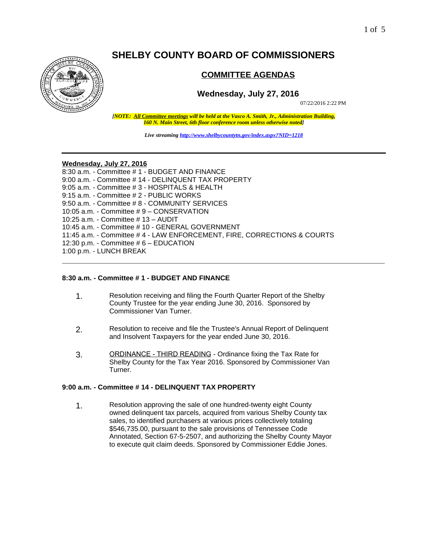# **SHELBY COUNTY BOARD OF COMMISSIONERS**



# **COMMITTEE AGENDAS**

# **Wednesday, July 27, 2016**

07/22/2016 2:22 PM

*[NOTE: All Committee meetings will be held at the Vasco A. Smith, Jr., Administration Building, 160 N. Main Street, 6th floor conference room unless otherwise noted]*

*Live streaming<http://www.shelbycountytn.gov/index.aspx?NID=1218>*

**\_\_\_\_\_\_\_\_\_\_\_\_\_\_\_\_\_\_\_\_\_\_\_\_\_\_\_\_\_\_\_\_\_\_\_\_\_\_\_\_\_\_\_\_\_\_\_\_\_\_\_\_\_\_\_\_\_\_\_\_\_\_\_\_\_\_\_\_\_\_**

#### **Wednesday, July 27, 2016**

8:30 a.m. - Committee # 1 - BUDGET AND FINANCE 9:00 a.m. - Committee # 14 - DELINQUENT TAX PROPERTY 9:05 a.m. - Committee # 3 - HOSPITALS & HEALTH 9:15 a.m. - Committee # 2 - PUBLIC WORKS 9:50 a.m. - Committee # 8 - COMMUNITY SERVICES 10:05 a.m. - Committee # 9 – CONSERVATION 10:25 a.m. - Committee # 13 – AUDIT 10:45 a.m. - Committee # 10 - GENERAL GOVERNMENT 11:45 a.m. - Committee # 4 - LAW ENFORCEMENT, FIRE, CORRECTIONS & COURTS 12:30 p.m. - Committee # 6 – EDUCATION 1:00 p.m. - LUNCH BREAK

#### **8:30 a.m. - Committee # 1 - BUDGET AND FINANCE**

- 1. Resolution receiving and filing the Fourth Quarter Report of the Shelby County Trustee for the year ending June 30, 2016. Sponsored by Commissioner Van Turner.
- 2. Resolution to receive and file the Trustee's Annual Report of Delinquent and Insolvent Taxpayers for the year ended June 30, 2016.
- 3. ORDINANCE THIRD READING Ordinance fixing the Tax Rate for Shelby County for the Tax Year 2016. Sponsored by Commissioner Van Turner.

# **9:00 a.m. - Committee # 14 - DELINQUENT TAX PROPERTY**

1. Resolution approving the sale of one hundred-twenty eight County owned delinquent tax parcels, acquired from various Shelby County tax sales, to identified purchasers at various prices collectively totaling \$546,735.00, pursuant to the sale provisions of Tennessee Code Annotated, Section 67-5-2507, and authorizing the Shelby County Mayor to execute quit claim deeds. Sponsored by Commissioner Eddie Jones.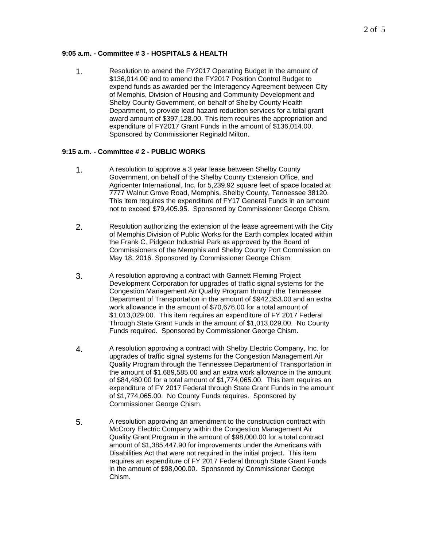# **9:05 a.m. - Committee # 3 - HOSPITALS & HEALTH**

1. Resolution to amend the FY2017 Operating Budget in the amount of \$136,014.00 and to amend the FY2017 Position Control Budget to expend funds as awarded per the Interagency Agreement between City of Memphis, Division of Housing and Community Development and Shelby County Government, on behalf of Shelby County Health Department, to provide lead hazard reduction services for a total grant award amount of \$397,128.00. This item requires the appropriation and expenditure of FY2017 Grant Funds in the amount of \$136,014.00. Sponsored by Commissioner Reginald Milton.

# **9:15 a.m. - Committee # 2 - PUBLIC WORKS**

- 1. A resolution to approve a 3 year lease between Shelby County Government, on behalf of the Shelby County Extension Office, and Agricenter International, Inc. for 5,239.92 square feet of space located at 7777 Walnut Grove Road, Memphis, Shelby County, Tennessee 38120. This item requires the expenditure of FY17 General Funds in an amount not to exceed \$79,405.95. Sponsored by Commissioner George Chism.
- 2. Resolution authorizing the extension of the lease agreement with the City of Memphis Division of Public Works for the Earth complex located within the Frank C. Pidgeon Industrial Park as approved by the Board of Commissioners of the Memphis and Shelby County Port Commission on May 18, 2016. Sponsored by Commissioner George Chism.
- 3. A resolution approving a contract with Gannett Fleming Project Development Corporation for upgrades of traffic signal systems for the Congestion Management Air Quality Program through the Tennessee Department of Transportation in the amount of \$942,353.00 and an extra work allowance in the amount of \$70,676.00 for a total amount of \$1,013,029.00. This item requires an expenditure of FY 2017 Federal Through State Grant Funds in the amount of \$1,013,029.00. No County Funds required. Sponsored by Commissioner George Chism.
- 4. A resolution approving a contract with Shelby Electric Company, Inc. for upgrades of traffic signal systems for the Congestion Management Air Quality Program through the Tennessee Department of Transportation in the amount of \$1,689,585.00 and an extra work allowance in the amount of \$84,480.00 for a total amount of \$1,774,065.00. This item requires an expenditure of FY 2017 Federal through State Grant Funds in the amount of \$1,774,065.00. No County Funds requires. Sponsored by Commissioner George Chism.
- 5. A resolution approving an amendment to the construction contract with McCrory Electric Company within the Congestion Management Air Quality Grant Program in the amount of \$98,000.00 for a total contract amount of \$1,385,447.90 for improvements under the Americans with Disabilities Act that were not required in the initial project. This item requires an expenditure of FY 2017 Federal through State Grant Funds in the amount of \$98,000.00. Sponsored by Commissioner George Chism.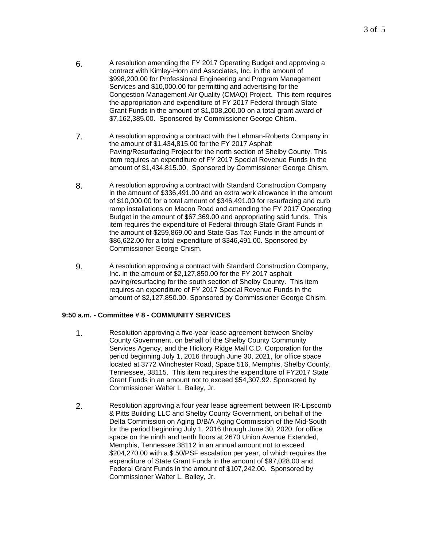- 6. A resolution amending the FY 2017 Operating Budget and approving a contract with Kimley-Horn and Associates, Inc. in the amount of \$998,200.00 for Professional Engineering and Program Management Services and \$10,000.00 for permitting and advertising for the Congestion Management Air Quality (CMAQ) Project. This item requires the appropriation and expenditure of FY 2017 Federal through State Grant Funds in the amount of \$1,008,200.00 on a total grant award of \$7,162,385.00. Sponsored by Commissioner George Chism.
- 7. A resolution approving a contract with the Lehman-Roberts Company in the amount of \$1,434,815.00 for the FY 2017 Asphalt Paving/Resurfacing Project for the north section of Shelby County. This item requires an expenditure of FY 2017 Special Revenue Funds in the amount of \$1,434,815.00. Sponsored by Commissioner George Chism.
- 8. A resolution approving a contract with Standard Construction Company in the amount of \$336,491.00 and an extra work allowance in the amount of \$10,000.00 for a total amount of \$346,491.00 for resurfacing and curb ramp installations on Macon Road and amending the FY 2017 Operating Budget in the amount of \$67,369.00 and appropriating said funds. This item requires the expenditure of Federal through State Grant Funds in the amount of \$259,869.00 and State Gas Tax Funds in the amount of \$86,622.00 for a total expenditure of \$346,491.00. Sponsored by Commissioner George Chism.
- 9. A resolution approving a contract with Standard Construction Company, Inc. in the amount of \$2,127,850.00 for the FY 2017 asphalt paving/resurfacing for the south section of Shelby County. This item requires an expenditure of FY 2017 Special Revenue Funds in the amount of \$2,127,850.00. Sponsored by Commissioner George Chism.

# **9:50 a.m. - Committee # 8 - COMMUNITY SERVICES**

- 1. Resolution approving a five-year lease agreement between Shelby County Government, on behalf of the Shelby County Community Services Agency, and the Hickory Ridge Mall C.D. Corporation for the period beginning July 1, 2016 through June 30, 2021, for office space located at 3772 Winchester Road, Space 516, Memphis, Shelby County, Tennessee, 38115. This item requires the expenditure of FY2017 State Grant Funds in an amount not to exceed \$54,307.92. Sponsored by Commissioner Walter L. Bailey, Jr.
- 2. Resolution approving a four year lease agreement between IR-Lipscomb & Pitts Building LLC and Shelby County Government, on behalf of the Delta Commission on Aging D/B/A Aging Commission of the Mid-South for the period beginning July 1, 2016 through June 30, 2020, for office space on the ninth and tenth floors at 2670 Union Avenue Extended, Memphis, Tennessee 38112 in an annual amount not to exceed \$204,270.00 with a \$.50/PSF escalation per year, of which requires the expenditure of State Grant Funds in the amount of \$97,028.00 and Federal Grant Funds in the amount of \$107,242.00. Sponsored by Commissioner Walter L. Bailey, Jr.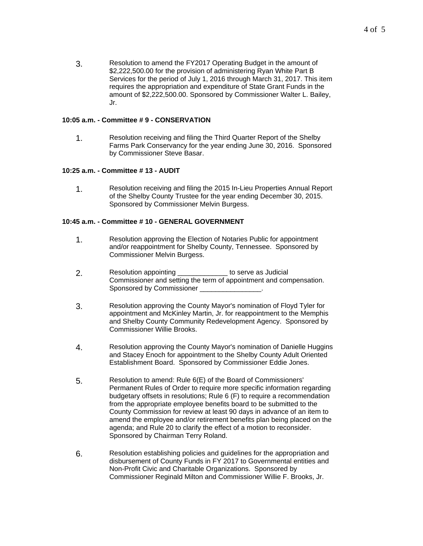3. Resolution to amend the FY2017 Operating Budget in the amount of \$2,222,500.00 for the provision of administering Ryan White Part B Services for the period of July 1, 2016 through March 31, 2017. This item requires the appropriation and expenditure of State Grant Funds in the amount of \$2,222,500.00. Sponsored by Commissioner Walter L. Bailey, Jr.

#### **10:05 a.m. - Committee # 9 - CONSERVATION**

1. Resolution receiving and filing the Third Quarter Report of the Shelby Farms Park Conservancy for the year ending June 30, 2016. Sponsored by Commissioner Steve Basar.

#### **10:25 a.m. - Committee # 13 - AUDIT**

1. Resolution receiving and filing the 2015 In-Lieu Properties Annual Report of the Shelby County Trustee for the year ending December 30, 2015. Sponsored by Commissioner Melvin Burgess.

#### **10:45 a.m. - Committee # 10 - GENERAL GOVERNMENT**

- 1. Resolution approving the Election of Notaries Public for appointment and/or reappointment for Shelby County, Tennessee. Sponsored by Commissioner Melvin Burgess.
- 2. Resolution appointing **2.** The serve as Judicial Commissioner and setting the term of appointment and compensation. Sponsored by Commissioner \_
- 3. Resolution approving the County Mayor's nomination of Floyd Tyler for appointment and McKinley Martin, Jr. for reappointment to the Memphis and Shelby County Community Redevelopment Agency. Sponsored by Commissioner Willie Brooks.
- 4. Resolution approving the County Mayor's nomination of Danielle Huggins and Stacey Enoch for appointment to the Shelby County Adult Oriented Establishment Board. Sponsored by Commissioner Eddie Jones.
- 5. Resolution to amend: Rule 6(E) of the Board of Commissioners' Permanent Rules of Order to require more specific information regarding budgetary offsets in resolutions; Rule 6 (F) to require a recommendation from the appropriate employee benefits board to be submitted to the County Commission for review at least 90 days in advance of an item to amend the employee and/or retirement benefits plan being placed on the agenda; and Rule 20 to clarify the effect of a motion to reconsider. Sponsored by Chairman Terry Roland.
- 6. Resolution establishing policies and guidelines for the appropriation and disbursement of County Funds in FY 2017 to Governmental entities and Non-Profit Civic and Charitable Organizations. Sponsored by Commissioner Reginald Milton and Commissioner Willie F. Brooks, Jr.